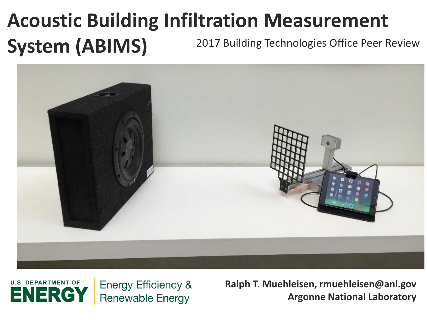# **Acoustic Building Infiltration Measurement System (ABIMS)** 2017 Building Technologies Office Peer Review





**Ralph T. Muehleisen, rmuehleisen@anl.gov Argonne National Laboratory**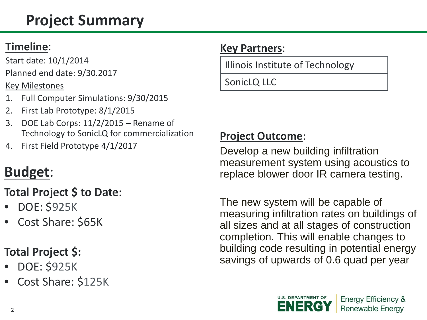# **Project Summary**

### **Timeline**:

Start date: 10/1/2014 Planned end date: 9/30.2017

Key Milestones

- 1. Full Computer Simulations: 9/30/2015
- 2. First Lab Prototype: 8/1/2015
- 3. DOE Lab Corps: 11/2/2015 Rename of Technology to SonicLQ for commercialization
- 4. First Field Prototype 4/1/2017

# **Budget**:

### **Total Project \$ to Date**:

- DOE: \$925K
- Cost Share: \$65K

### **Total Project \$:**

- DOE: \$925K
- Cost Share: \$125K

### **Key Partners**:

Illinois Institute of Technology

#### SonicLQ LLC

### **Project Outcome**:

Develop a new building infiltration measurement system using acoustics to replace blower door IR camera testing.

The new system will be capable of measuring infiltration rates on buildings of all sizes and at all stages of construction completion. This will enable changes to building code resulting in potential energy savings of upwards of 0.6 quad per year

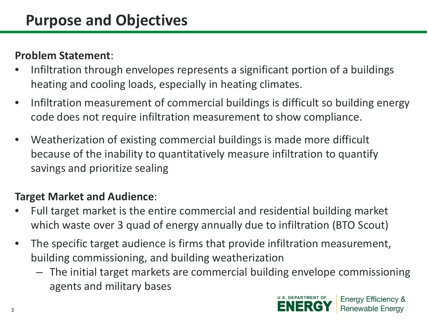#### **Problem Statement**:

- Infiltration through envelopes represents a significant portion of a buildings heating and cooling loads, especially in heating climates.
- Infiltration measurement of commercial buildings is difficult so building energy code does not require infiltration measurement to show compliance.
- Weatherization of existing commercial buildings is made more difficult because of the inability to quantitatively measure infiltration to quantify savings and prioritize sealing

#### **Target Market and Audience**:

- Full target market is the entire commercial and residential building market which waste over 3 quad of energy annually due to infiltration (BTO Scout)
- The specific target audience is firms that provide infiltration measurement, building commissioning, and building weatherization
	- The initial target markets are commercial building envelope commissioning agents and military bases

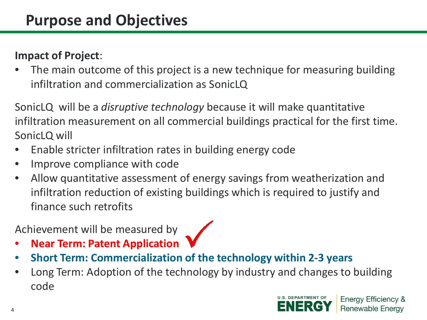#### **Impact of Project**:

The main outcome of this project is a new technique for measuring building infiltration and commercialization as SonicLQ

SonicLQ will be a *disruptive technology* because it will make quantitative infiltration measurement on all commercial buildings practical for the first time. SonicLQ will

- Enable stricter infiltration rates in building energy code
- Improve compliance with code
- Allow quantitative assessment of energy savings from weatherization and infiltration reduction of existing buildings which is required to justify and finance such retrofits

### Achievement will be measured by

- **Near Term: Patent Application**
- **Short Term: Commercialization of the technology within 2-3 years**
- Long Term: Adoption of the technology by industry and changes to building code

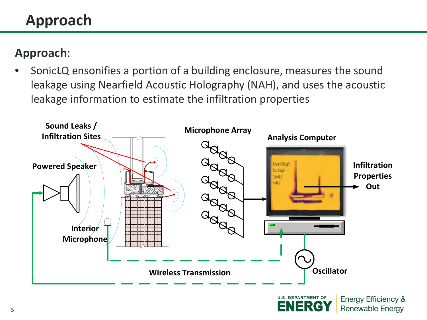# **Approach**

# **Approach**:

• SonicLQ ensonifies a portion of a building enclosure, measures the sound leakage using Nearfield Acoustic Holography (NAH), and uses the acoustic leakage information to estimate the infiltration properties



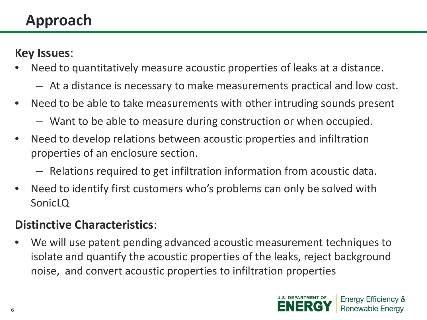# **Approach**

### **Key Issues**:

- Need to quantitatively measure acoustic properties of leaks at a distance.
	- At a distance is necessary to make measurements practical and low cost.
- Need to be able to take measurements with other intruding sounds present
	- Want to be able to measure during construction or when occupied.
- Need to develop relations between acoustic properties and infiltration properties of an enclosure section.
	- Relations required to get infiltration information from acoustic data.
- Need to identify first customers who's problems can only be solved with SonicLQ

### **Distinctive Characteristics**:

• We will use patent pending advanced acoustic measurement techniques to isolate and quantify the acoustic properties of the leaks, reject background noise, and convert acoustic properties to infiltration properties

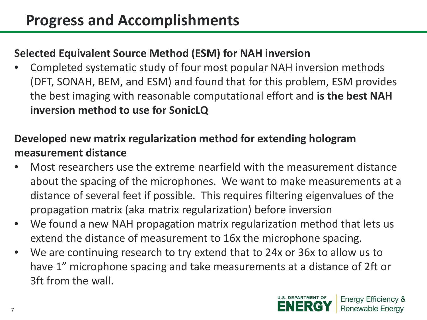#### **Selected Equivalent Source Method (ESM) for NAH inversion**

• Completed systematic study of four most popular NAH inversion methods (DFT, SONAH, BEM, and ESM) and found that for this problem, ESM provides the best imaging with reasonable computational effort and **is the best NAH inversion method to use for SonicLQ**

#### **Developed new matrix regularization method for extending hologram measurement distance**

- Most researchers use the extreme nearfield with the measurement distance about the spacing of the microphones. We want to make measurements at a distance of several feet if possible. This requires filtering eigenvalues of the propagation matrix (aka matrix regularization) before inversion
- We found a new NAH propagation matrix regularization method that lets us extend the distance of measurement to 16x the microphone spacing.
- We are continuing research to try extend that to 24x or 36x to allow us to have 1" microphone spacing and take measurements at a distance of 2ft or 3ft from the wall.

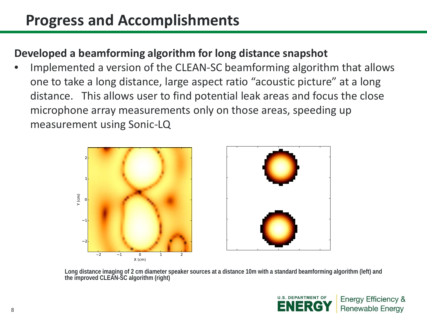# **Progress and Accomplishments**

#### **Developed a beamforming algorithm for long distance snapshot**

• Implemented a version of the CLEAN-SC beamforming algorithm that allows one to take a long distance, large aspect ratio "acoustic picture" at a long distance. This allows user to find potential leak areas and focus the close microphone array measurements only on those areas, speeding up measurement using Sonic-LQ





**Long distance imaging of 2 cm diameter speaker sources at a distance 10m with a standard beamforming algorithm (left) and the improved CLEAN-SC algorithm (right)g**

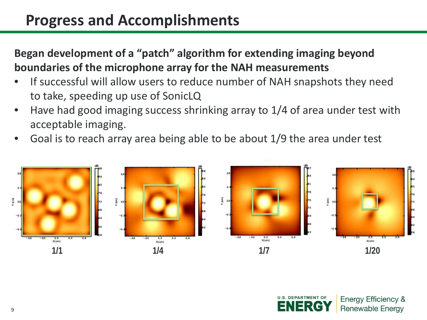# **Progress and Accomplishments**

**Began development of a "patch" algorithm for extending imaging beyond boundaries of the microphone array for the NAH measurements**

- If successful will allow users to reduce number of NAH snapshots they need to take, speeding up use of SonicLQ
- Have had good imaging success shrinking array to 1/4 of area under test with acceptable imaging.
- Goal is to reach array area being able to be about 1/9 the area under test



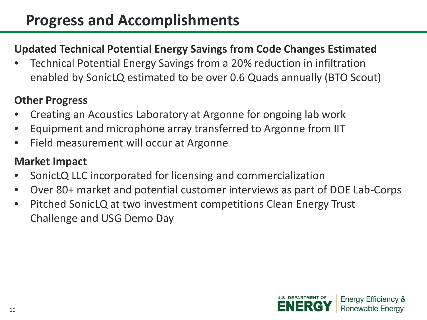### **Updated Technical Potential Energy Savings from Code Changes Estimated**

• Technical Potential Energy Savings from a 20% reduction in infiltration enabled by SonicLQ estimated to be over 0.6 Quads annually (BTO Scout)

#### **Other Progress**

- Creating an Acoustics Laboratory at Argonne for ongoing lab work
- Equipment and microphone array transferred to Argonne from IIT
- Field measurement will occur at Argonne

### **Market Impact**

- SonicLQ LLC incorporated for licensing and commercialization
- Over 80+ market and potential customer interviews as part of DOE Lab-Corps
- Pitched SonicLQ at two investment competitions Clean Energy Trust Challenge and USG Demo Day

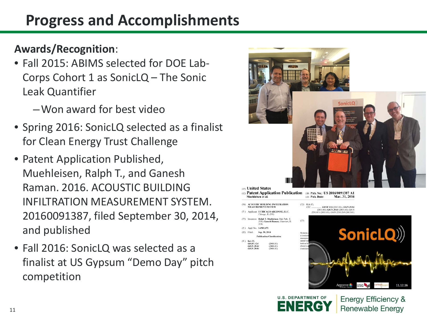# **Progress and Accomplishments**

### **Awards/Recognition**:

- Fall 2015: ABIMS selected for DOE Lab-Corps Cohort 1 as SonicLQ – The Sonic Leak Quantifier
	- –Won award for best video
- Spring 2016: SonicLQ selected as a finalist for Clean Energy Trust Challenge
- Patent Application Published, Muehleisen, Ralph T., and Ganesh Raman. 2016. ACOUSTIC BUILDING INFILTRATION MEASUREMENT SYSTEM. 20160091387, filed September 30, 2014, and published
- Fall 2016: SonicLQ was selected as a finalist at US Gypsum "Demo Day" pitch competition





**Energy Efficiency & Renewable Energy** 

11.12.16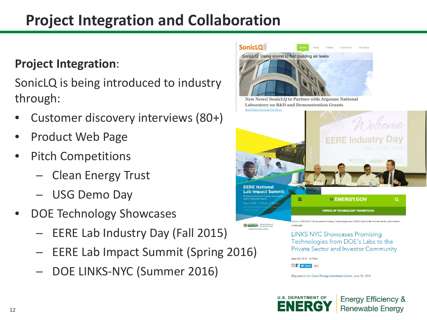# **Project Integration and Collaboration**

### **Project Integration**:

SonicLQ is being introduced to industry through:

- Customer discovery interviews (80+)
- Product Web Page
- Pitch Competitions
	- ─ Clean Energy Trust
	- ─ USG Demo Day
- DOE Technology Showcases
	- EERE Lab Industry Day (Fall 2015)
	- EERE Lab Impact Summit (Spring 2016)
	- DOE LINKS-NYC (Summer 2016)



Technologies from DOE's Labs to the **Private Sector and Investor Community** 

June 29, 2016 - 4:37pm

S filly Tweet G+1

Blog post by the Clean Energy Investment Center, June 29, 2016.

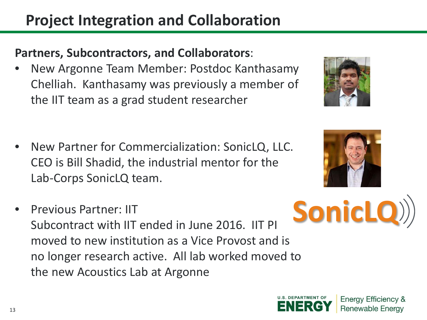# **Project Integration and Collaboration**

# **Partners, Subcontractors, and Collaborators**:

- New Argonne Team Member: Postdoc Kanthasamy Chelliah. Kanthasamy was previously a member of the IIT team as a grad student researcher
- New Partner for Commercialization: SonicLQ, LLC. CEO is Bill Shadid, the industrial mentor for the Lab-Corps SonicLQ team.
- Previous Partner: IIT Subcontract with IIT ended in June 2016. IIT PI moved to new institution as a Vice Provost and is no longer research active. All lab worked moved to the new Acoustics Lab at Argonne **SonicLQ**





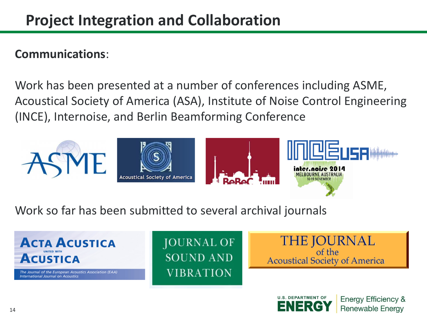#### **Communications**:

Work has been presented at a number of conferences including ASME, Acoustical Society of America (ASA), Institute of Noise Control Engineering (INCE), Internoise, and Berlin Beamforming Conference



Work so far has been submitted to several archival journals



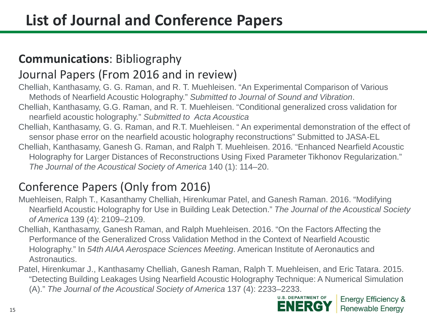### **Communications**: Bibliography

### Journal Papers (From 2016 and in review)

Chelliah, Kanthasamy, G. G. Raman, and R. T. Muehleisen. "An Experimental Comparison of Various Methods of Nearfield Acoustic Holography." *Submitted to Journal of Sound and Vibration*. Chelliah, Kanthasamy, G.G. Raman, and R. T. Muehleisen. "Conditional generalized cross validation for nearfield acoustic holography." *Submitted to Acta Acoustica* Chelliah, Kanthasamy, G. G. Raman, and R.T. Muehleisen. " An experimental demonstration of the effect of sensor phase error on the nearfield acoustic holography reconstructions" Submitted to JASA-EL

Chelliah, Kanthasamy, Ganesh G. Raman, and Ralph T. Muehleisen. 2016. "Enhanced Nearfield Acoustic Holography for Larger Distances of Reconstructions Using Fixed Parameter Tikhonov Regularization." *The Journal of the Acoustical Society of America* 140 (1): 114–20.

## Conference Papers (Only from 2016)

- Muehleisen, Ralph T., Kasanthamy Chelliah, Hirenkumar Patel, and Ganesh Raman. 2016. "Modifying Nearfield Acoustic Holography for Use in Building Leak Detection." *The Journal of the Acoustical Society of America* 139 (4): 2109–2109.
- Chelliah, Kanthasamy, Ganesh Raman, and Ralph Muehleisen. 2016. "On the Factors Affecting the Performance of the Generalized Cross Validation Method in the Context of Nearfield Acoustic Holography." In *54th AIAA Aerospace Sciences Meeting*. American Institute of Aeronautics and Astronautics.
- Patel, Hirenkumar J., Kanthasamy Chelliah, Ganesh Raman, Ralph T. Muehleisen, and Eric Tatara. 2015. "Detecting Building Leakages Using Nearfield Acoustic Holography Technique: A Numerical Simulation (A)." *The Journal of the Acoustical Society of America* 137 (4): 2233–2233.

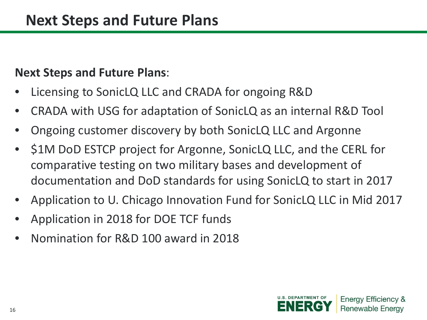### **Next Steps and Future Plans**:

- Licensing to SonicLQ LLC and CRADA for ongoing R&D
- CRADA with USG for adaptation of SonicLQ as an internal R&D Tool
- Ongoing customer discovery by both SonicLQ LLC and Argonne
- \$1M DoD ESTCP project for Argonne, SonicLQ LLC, and the CERL for comparative testing on two military bases and development of documentation and DoD standards for using SonicLQ to start in 2017
- Application to U. Chicago Innovation Fund for SonicLQ LLC in Mid 2017
- Application in 2018 for DOE TCF funds
- Nomination for R&D 100 award in 2018

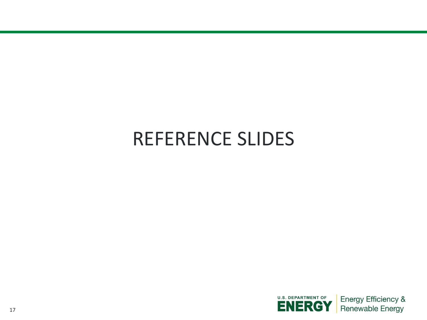# REFERENCE SLIDES

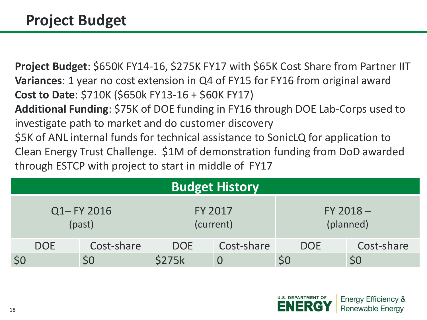**Project Budget**: \$650K FY14-16, \$275K FY17 with \$65K Cost Share from Partner IIT **Variances**: 1 year no cost extension in Q4 of FY15 for FY16 from original award **Cost to Date**: \$710K (\$650k FY13-16 + \$60K FY17) **Additional Funding**: \$75K of DOE funding in FY16 through DOE Lab-Corps used to investigate path to market and do customer discovery \$5K of ANL internal funds for technical assistance to SonicLQ for application to Clean Energy Trust Challenge. \$1M of demonstration funding from DoD awarded through ESTCP with project to start in middle of FY17

| <b>Budget History</b> |            |            |                |            |                          |            |  |  |  |  |
|-----------------------|------------|------------|----------------|------------|--------------------------|------------|--|--|--|--|
| Q1-FY 2016<br>(past)  |            |            | <b>FY 2017</b> | (current)  | $FY 2018 -$<br>(planned) |            |  |  |  |  |
|                       | <b>DOE</b> | Cost-share | <b>DOE</b>     | Cost-share | <b>DOE</b>               | Cost-share |  |  |  |  |
| \$0                   |            | <b>SO</b>  | <b>\$275k</b>  | $\bf{0}$   | \$0                      |            |  |  |  |  |